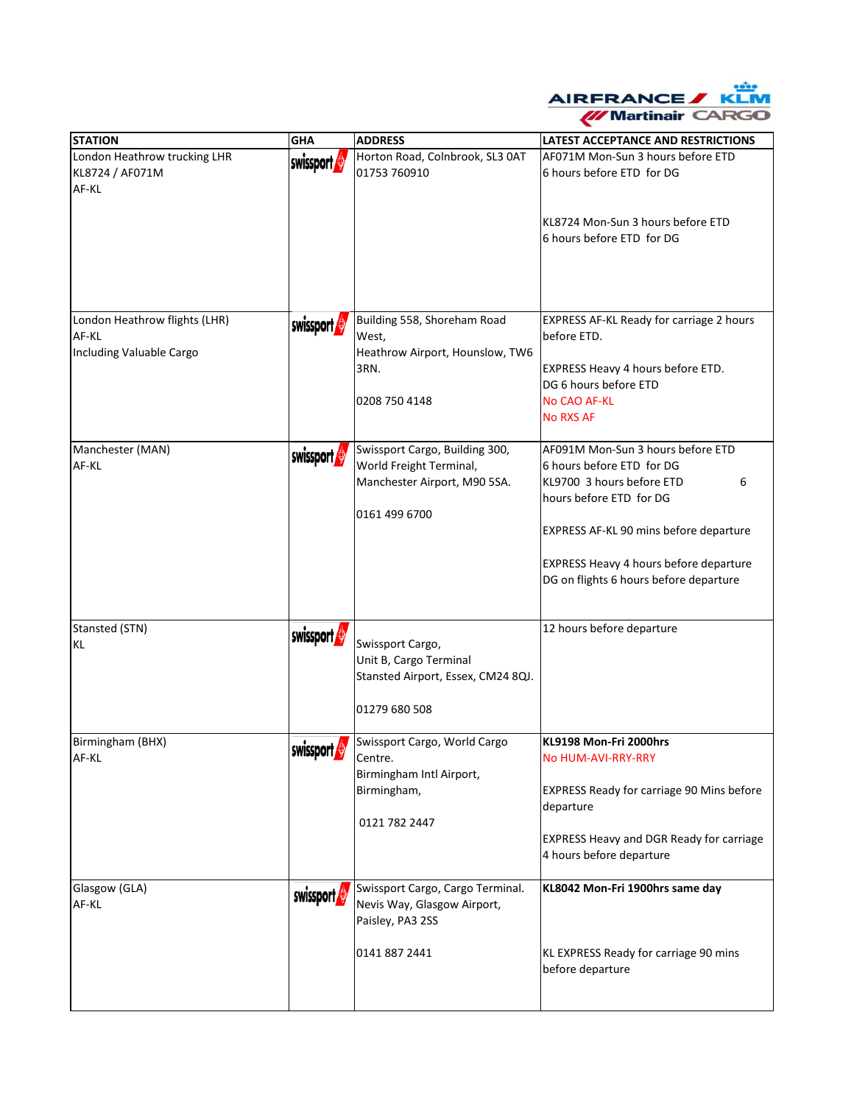

| <b>STATION</b>                                                     | <b>GHA</b> | <b>ADDRESS</b>                                                                                             | <b>LATEST ACCEPTANCE AND RESTRICTIONS</b>                                                                                                                                                                                                                 |
|--------------------------------------------------------------------|------------|------------------------------------------------------------------------------------------------------------|-----------------------------------------------------------------------------------------------------------------------------------------------------------------------------------------------------------------------------------------------------------|
| London Heathrow trucking LHR<br>KL8724 / AF071M<br>AF-KL           | swissport  | Horton Road, Colnbrook, SL3 0AT<br>01753 760910                                                            | AF071M Mon-Sun 3 hours before ETD<br>6 hours before ETD for DG<br>KL8724 Mon-Sun 3 hours before ETD<br>6 hours before ETD for DG                                                                                                                          |
| London Heathrow flights (LHR)<br>AF-KL<br>Including Valuable Cargo | swissport  | Building 558, Shoreham Road<br>West,<br>Heathrow Airport, Hounslow, TW6<br>3RN.<br>0208 750 4148           | EXPRESS AF-KL Ready for carriage 2 hours<br>before ETD.<br>EXPRESS Heavy 4 hours before ETD.<br>DG 6 hours before ETD<br>No CAO AF-KL<br><b>No RXS AF</b>                                                                                                 |
| Manchester (MAN)<br>AF-KL                                          | swissport  | Swissport Cargo, Building 300,<br>World Freight Terminal,<br>Manchester Airport, M90 5SA.<br>0161 499 6700 | AF091M Mon-Sun 3 hours before ETD<br>6 hours before ETD for DG<br>KL9700 3 hours before ETD<br>6<br>hours before ETD for DG<br>EXPRESS AF-KL 90 mins before departure<br>EXPRESS Heavy 4 hours before departure<br>DG on flights 6 hours before departure |
| Stansted (STN)<br><b>KL</b>                                        | swissport  | Swissport Cargo,<br>Unit B, Cargo Terminal<br>Stansted Airport, Essex, CM24 8QJ.<br>01279 680 508          | 12 hours before departure                                                                                                                                                                                                                                 |
| Birmingham (BHX)<br>AF-KL                                          | swissport  | Swissport Cargo, World Cargo<br>Centre.<br>Birmingham Intl Airport,<br>Birmingham,<br>0121 782 2447        | KL9198 Mon-Fri 2000hrs<br><b>No HUM-AVI-RRY-RRY</b><br>EXPRESS Ready for carriage 90 Mins before<br>departure<br><b>EXPRESS Heavy and DGR Ready for carriage</b><br>4 hours before departure                                                              |
| Glasgow (GLA)<br>AF-KL                                             | swissport  | Swissport Cargo, Cargo Terminal.<br>Nevis Way, Glasgow Airport,<br>Paisley, PA3 2SS<br>0141 887 2441       | KL8042 Mon-Fri 1900hrs same day<br>KL EXPRESS Ready for carriage 90 mins<br>before departure                                                                                                                                                              |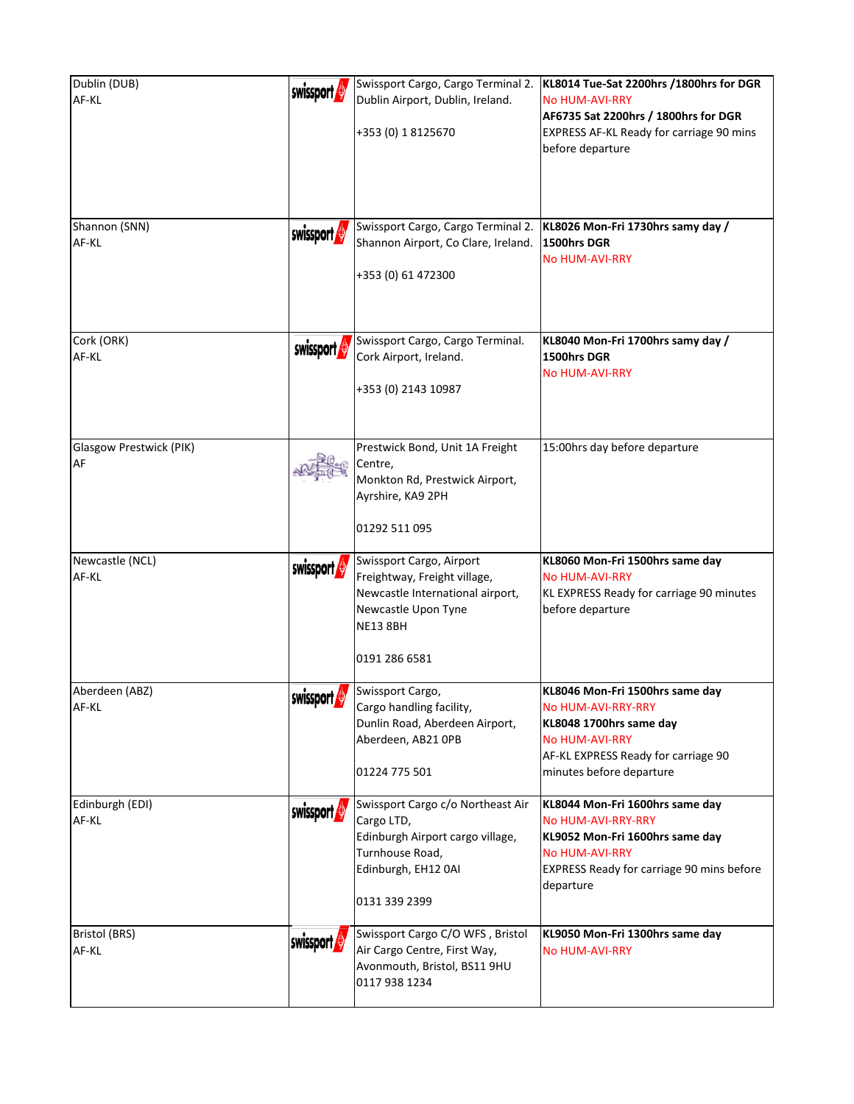| Dublin (DUB)<br>AF-KL                | swissport | Swissport Cargo, Cargo Terminal 2.<br>Dublin Airport, Dublin, Ireland.<br>+353 (0) 1 8125670                                                            | KL8014 Tue-Sat 2200hrs /1800hrs for DGR<br><b>No HUM-AVI-RRY</b><br>AF6735 Sat 2200hrs / 1800hrs for DGR<br><b>EXPRESS AF-KL Ready for carriage 90 mins</b><br>before departure     |
|--------------------------------------|-----------|---------------------------------------------------------------------------------------------------------------------------------------------------------|-------------------------------------------------------------------------------------------------------------------------------------------------------------------------------------|
| Shannon (SNN)<br>AF-KL               | swissport | Swissport Cargo, Cargo Terminal 2.<br>Shannon Airport, Co Clare, Ireland.<br>+353 (0) 61 472300                                                         | KL8026 Mon-Fri 1730hrs samy day /<br>1500hrs DGR<br><b>No HUM-AVI-RRY</b>                                                                                                           |
| Cork (ORK)<br>AF-KL                  | swissport | Swissport Cargo, Cargo Terminal.<br>Cork Airport, Ireland.<br>+353 (0) 2143 10987                                                                       | KL8040 Mon-Fri 1700hrs samy day /<br>1500hrs DGR<br><b>No HUM-AVI-RRY</b>                                                                                                           |
| Glasgow Prestwick (PIK)<br><b>AF</b> |           | Prestwick Bond, Unit 1A Freight<br>Centre,<br>Monkton Rd, Prestwick Airport,<br>Ayrshire, KA9 2PH<br>01292 511 095                                      | 15:00hrs day before departure                                                                                                                                                       |
| Newcastle (NCL)<br>AF-KL             | swissport | Swissport Cargo, Airport<br>Freightway, Freight village,<br>Newcastle International airport,<br>Newcastle Upon Tyne<br><b>NE13 8BH</b><br>0191 286 6581 | KL8060 Mon-Fri 1500hrs same day<br><b>No HUM-AVI-RRY</b><br>KL EXPRESS Ready for carriage 90 minutes<br>before departure                                                            |
| Aberdeen (ABZ)<br>AF-KL              | swissport | Swissport Cargo,<br>Cargo handling facility,<br>Dunlin Road, Aberdeen Airport,<br>Aberdeen, AB21 OPB<br>01224 775 501                                   | KL8046 Mon-Fri 1500hrs same day<br><b>No HUM-AVI-RRY-RRY</b><br>KL8048 1700hrs same day<br><b>No HUM-AVI-RRY</b><br>AF-KL EXPRESS Ready for carriage 90<br>minutes before departure |
| Edinburgh (EDI)<br>AF-KL             | swissport | Swissport Cargo c/o Northeast Air<br>Cargo LTD,<br>Edinburgh Airport cargo village,<br>Turnhouse Road,<br>Edinburgh, EH12 0AI<br>0131 339 2399          | KL8044 Mon-Fri 1600hrs same day<br>No HUM-AVI-RRY-RRY<br>KL9052 Mon-Fri 1600hrs same day<br><b>No HUM-AVI-RRY</b><br>EXPRESS Ready for carriage 90 mins before<br>departure         |
| Bristol (BRS)<br>AF-KL               | swissport | Swissport Cargo C/O WFS, Bristol<br>Air Cargo Centre, First Way,<br>Avonmouth, Bristol, BS11 9HU<br>0117 938 1234                                       | KL9050 Mon-Fri 1300hrs same day<br><b>No HUM-AVI-RRY</b>                                                                                                                            |